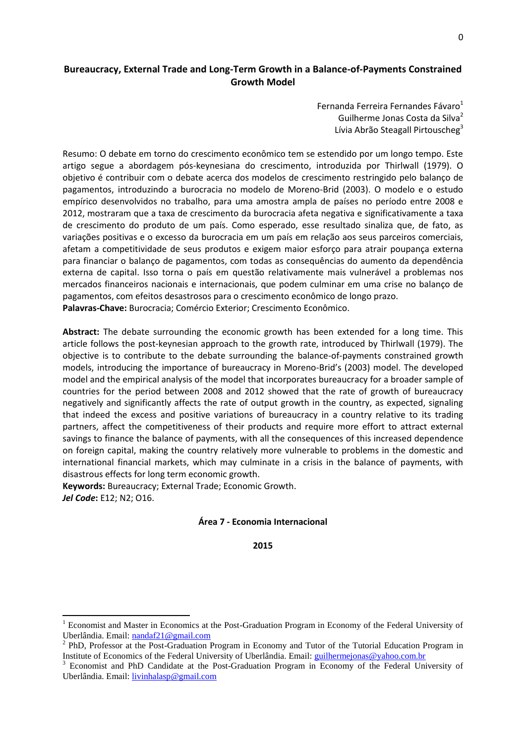# **Bureaucracy, External Trade and Long-Term Growth in a Balance-of-Payments Constrained Growth Model**

Fernanda Ferreira Fernandes Fávaro $1$ Guilherme Jonas Costa da Silva<sup>2</sup> Lívia Abrão Steagall Pirtouscheg<sup>3</sup>

Resumo: O debate em torno do crescimento econômico tem se estendido por um longo tempo. Este artigo segue a abordagem pós-keynesiana do crescimento, introduzida por Thirlwall (1979). O objetivo é contribuir com o debate acerca dos modelos de crescimento restringido pelo balanço de pagamentos, introduzindo a burocracia no modelo de Moreno-Brid (2003). O modelo e o estudo empírico desenvolvidos no trabalho, para uma amostra ampla de países no período entre 2008 e 2012, mostraram que a taxa de crescimento da burocracia afeta negativa e significativamente a taxa de crescimento do produto de um país. Como esperado, esse resultado sinaliza que, de fato, as variações positivas e o excesso da burocracia em um país em relação aos seus parceiros comerciais, afetam a competitividade de seus produtos e exigem maior esforço para atrair poupança externa para financiar o balanço de pagamentos, com todas as consequências do aumento da dependência externa de capital. Isso torna o país em questão relativamente mais vulnerável a problemas nos mercados financeiros nacionais e internacionais, que podem culminar em uma crise no balanço de pagamentos, com efeitos desastrosos para o crescimento econômico de longo prazo. **Palavras-Chave:** Burocracia; Comércio Exterior; Crescimento Econômico.

**Abstract:** The debate surrounding the economic growth has been extended for a long time. This article follows the post-keynesian approach to the growth rate, introduced by Thirlwall (1979). The objective is to contribute to the debate surrounding the balance-of-payments constrained growth models, introducing the importance of bureaucracy in Moreno-Brid's (2003) model. The developed model and the empirical analysis of the model that incorporates bureaucracy for a broader sample of countries for the period between 2008 and 2012 showed that the rate of growth of bureaucracy negatively and significantly affects the rate of output growth in the country, as expected, signaling that indeed the excess and positive variations of bureaucracy in a country relative to its trading partners, affect the competitiveness of their products and require more effort to attract external savings to finance the balance of payments, with all the consequences of this increased dependence on foreign capital, making the country relatively more vulnerable to problems in the domestic and international financial markets, which may culminate in a crisis in the balance of payments, with disastrous effects for long term economic growth.

**Keywords:** Bureaucracy; External Trade; Economic Growth. *Jel Code***:** E12; N2; O16.

 $\overline{a}$ 

### **Área 7 - Economia Internacional**

**2015**

<sup>&</sup>lt;sup>1</sup> Economist and Master in Economics at the Post-Graduation Program in Economy of the Federal University of Uberlândia. Email: [nandaf21@gmail.com](mailto:nandaf21@gmail.com)

<sup>&</sup>lt;sup>2</sup> PhD, Professor at the Post-Graduation Program in Economy and Tutor of the Tutorial Education Program in Institute of Economics of the Federal University of Uberlândia. Email: [guilhermejonas@yahoo.com.br](mailto:guilhermejonas@yahoo.com.br)

<sup>3</sup> Economist and PhD Candidate at the Post-Graduation Program in Economy of the Federal University of Uberlândia. Email: [livinhalasp@gmail.com](mailto:livinhalasp@gmail.com)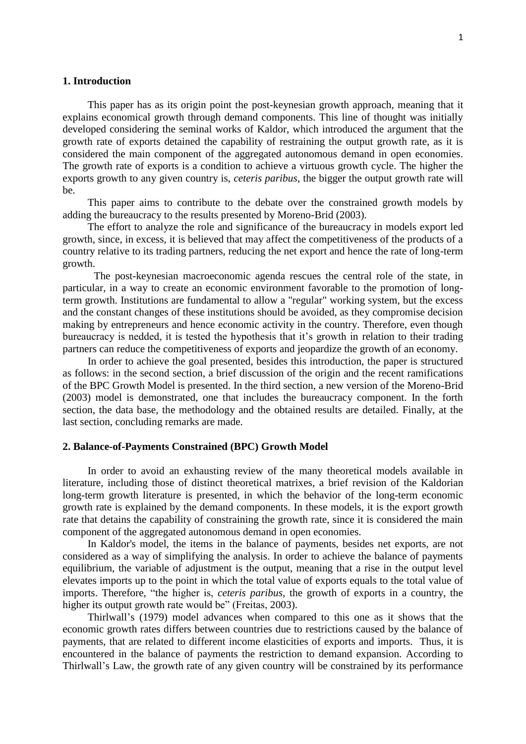## **1. Introduction**

This paper has as its origin point the post-keynesian growth approach, meaning that it explains economical growth through demand components. This line of thought was initially developed considering the seminal works of Kaldor, which introduced the argument that the growth rate of exports detained the capability of restraining the output growth rate, as it is considered the main component of the aggregated autonomous demand in open economies. The growth rate of exports is a condition to achieve a virtuous growth cycle. The higher the exports growth to any given country is, *ceteris paribus*, the bigger the output growth rate will be.

This paper aims to contribute to the debate over the constrained growth models by adding the bureaucracy to the results presented by Moreno-Brid (2003).

The effort to analyze the role and significance of the bureaucracy in models export led growth, since, in excess, it is believed that may affect the competitiveness of the products of a country relative to its trading partners, reducing the net export and hence the rate of long-term growth.

The post-keynesian macroeconomic agenda rescues the central role of the state, in particular, in a way to create an economic environment favorable to the promotion of longterm growth. Institutions are fundamental to allow a "regular" working system, but the excess and the constant changes of these institutions should be avoided, as they compromise decision making by entrepreneurs and hence economic activity in the country. Therefore, even though bureaucracy is nedded, it is tested the hypothesis that it's growth in relation to their trading partners can reduce the competitiveness of exports and jeopardize the growth of an economy.

In order to achieve the goal presented, besides this introduction, the paper is structured as follows: in the second section, a brief discussion of the origin and the recent ramifications of the BPC Growth Model is presented. In the third section, a new version of the Moreno-Brid (2003) model is demonstrated, one that includes the bureaucracy component. In the forth section, the data base, the methodology and the obtained results are detailed. Finally, at the last section, concluding remarks are made.

### **2. Balance-of-Payments Constrained (BPC) Growth Model**

In order to avoid an exhausting review of the many theoretical models available in literature, including those of distinct theoretical matrixes, a brief revision of the Kaldorian long-term growth literature is presented, in which the behavior of the long-term economic growth rate is explained by the demand components. In these models, it is the export growth rate that detains the capability of constraining the growth rate, since it is considered the main component of the aggregated autonomous demand in open economies.

In Kaldor's model, the items in the balance of payments, besides net exports, are not considered as a way of simplifying the analysis. In order to achieve the balance of payments equilibrium, the variable of adjustment is the output, meaning that a rise in the output level elevates imports up to the point in which the total value of exports equals to the total value of imports. Therefore, "the higher is, *ceteris paribus,* the growth of exports in a country, the higher its output growth rate would be" (Freitas, 2003).

Thirlwall"s (1979) model advances when compared to this one as it shows that the economic growth rates differs between countries due to restrictions caused by the balance of payments, that are related to different income elasticities of exports and imports. Thus, it is encountered in the balance of payments the restriction to demand expansion. According to Thirlwall"s Law, the growth rate of any given country will be constrained by its performance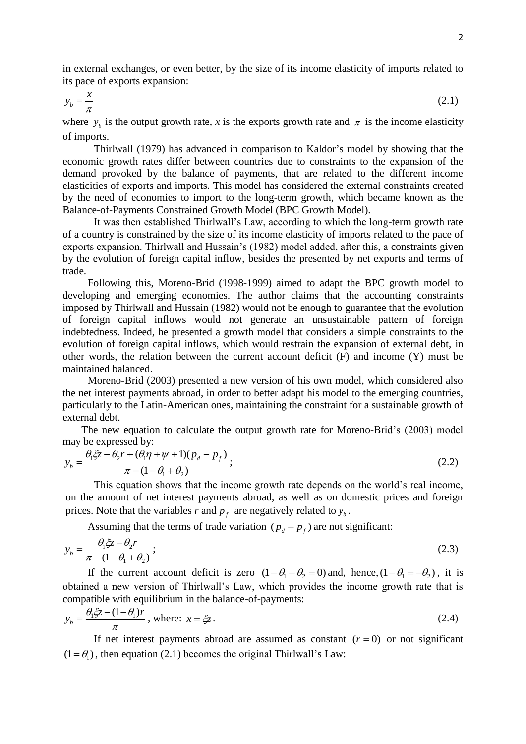in external exchanges, or even better, by the size of its income elasticity of imports related to its pace of exports expansion:

$$
y_b = \frac{x}{\pi} \tag{2.1}
$$

where  $y_b$  is the output growth rate, *x* is the exports growth rate and  $\pi$  is the income elasticity of imports.

Thirlwall (1979) has advanced in comparison to Kaldor"s model by showing that the economic growth rates differ between countries due to constraints to the expansion of the demand provoked by the balance of payments, that are related to the different income elasticities of exports and imports. This model has considered the external constraints created by the need of economies to import to the long-term growth, which became known as the Balance-of-Payments Constrained Growth Model (BPC Growth Model).

It was then established Thirlwall"s Law, according to which the long-term growth rate of a country is constrained by the size of its income elasticity of imports related to the pace of exports expansion. Thirlwall and Hussain"s (1982) model added, after this, a constraints given by the evolution of foreign capital inflow, besides the presented by net exports and terms of trade.

Following this, Moreno-Brid (1998-1999) aimed to adapt the BPC growth model to developing and emerging economies. The author claims that the accounting constraints imposed by Thirlwall and Hussain (1982) would not be enough to guarantee that the evolution of foreign capital inflows would not generate an unsustainable pattern of foreign indebtedness. Indeed, he presented a growth model that considers a simple constraints to the evolution of foreign capital inflows, which would restrain the expansion of external debt, in other words, the relation between the current account deficit (F) and income (Y) must be maintained balanced.

Moreno-Brid (2003) presented a new version of his own model, which considered also the net interest payments abroad, in order to better adapt his model to the emerging countries, particularly to the Latin-American ones, maintaining the constraint for a sustainable growth of external debt.

The new equation to calculate the output growth rate for Moreno-Brid"s (2003) model may be expressed by:

$$
y_b = \frac{\theta_1 \xi z - \theta_2 r + (\theta_1 \eta + \psi + 1)(p_d - p_f)}{\pi - (1 - \theta_1 + \theta_2)};
$$
\n(2.2)

This equation shows that the income growth rate depends on the world"s real income, on the amount of net interest payments abroad, as well as on domestic prices and foreign prices. Note that the variables *r* and  $p_f$  are negatively related to  $y_b$ .

Assuming that the terms of trade variation  $(p_d - p_f)$  are not significant:

$$
y_b = \frac{\theta_1 \xi z - \theta_2 r}{\pi - (1 - \theta_1 + \theta_2)}\,;
$$
\n(2.3)

If the current account deficit is zero  $(1 - \theta_1 + \theta_2 = 0)$  and, hence,  $(1 - \theta_1 = -\theta_2)$ , it is obtained a new version of Thirlwall"s Law, which provides the income growth rate that is compatible with equilibrium in the balance-of-payments:

$$
y_b = \frac{\theta_1 \xi z - (1 - \theta_1)r}{\pi}
$$
, where:  $x = \xi z$ . (2.4)

If net interest payments abroad are assumed as constant  $(r = 0)$  or not significant  $(1 = \theta_1)$ , then equation (2.1) becomes the original Thirlwall's Law: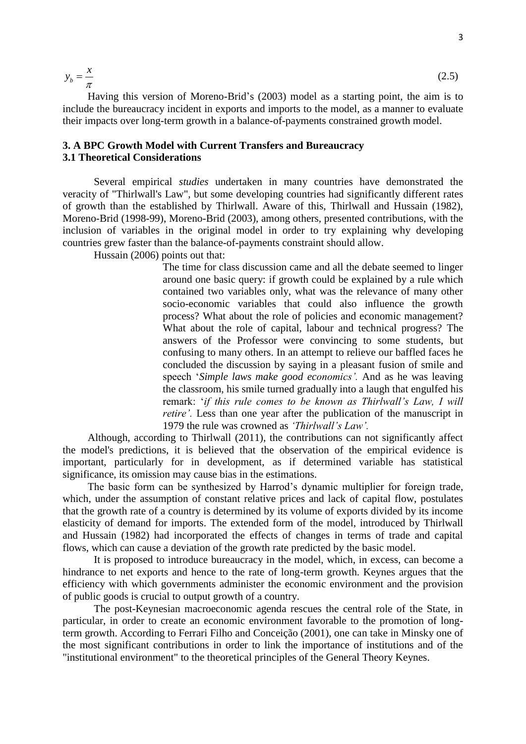$$
y_b = \frac{x}{\pi}
$$

Having this version of Moreno-Brid's (2003) model as a starting point, the aim is to include the bureaucracy incident in exports and imports to the model, as a manner to evaluate their impacts over long-term growth in a balance-of-payments constrained growth model.

# **3. A BPC Growth Model with Current Transfers and Bureaucracy 3.1 Theoretical Considerations**

Several empirical *studies* undertaken in many countries have demonstrated the veracity of "Thirlwall's Law", but some developing countries had significantly different rates of growth than the established by Thirlwall. Aware of this, Thirlwall and Hussain (1982), Moreno-Brid (1998-99), Moreno-Brid (2003), among others, presented contributions, with the inclusion of variables in the original model in order to try explaining why developing countries grew faster than the balance-of-payments constraint should allow.

Hussain (2006) points out that:

The time for class discussion came and all the debate seemed to linger around one basic query: if growth could be explained by a rule which contained two variables only, what was the relevance of many other socio-economic variables that could also influence the growth process? What about the role of policies and economic management? What about the role of capital, labour and technical progress? The answers of the Professor were convincing to some students, but confusing to many others. In an attempt to relieve our baffled faces he concluded the discussion by saying in a pleasant fusion of smile and speech "*Simple laws make good economics'.* And as he was leaving the classroom, his smile turned gradually into a laugh that engulfed his remark: "*if this rule comes to be known as Thirlwall's Law, I will retire'.* Less than one year after the publication of the manuscript in 1979 the rule was crowned as *'Thirlwall's Law'.*

Although, according to Thirlwall (2011), the contributions can not significantly affect the model's predictions, it is believed that the observation of the empirical evidence is important, particularly for in development, as if determined variable has statistical significance, its omission may cause bias in the estimations.

The basic form can be synthesized by Harrod"s dynamic multiplier for foreign trade, which, under the assumption of constant relative prices and lack of capital flow, postulates that the growth rate of a country is determined by its volume of exports divided by its income elasticity of demand for imports. The extended form of the model, introduced by Thirlwall and Hussain (1982) had incorporated the effects of changes in terms of trade and capital flows, which can cause a deviation of the growth rate predicted by the basic model.

It is proposed to introduce bureaucracy in the model, which, in excess, can become a hindrance to net exports and hence to the rate of long-term growth. Keynes argues that the efficiency with which governments administer the economic environment and the provision of public goods is crucial to output growth of a country.

The post-Keynesian macroeconomic agenda rescues the central role of the State, in particular, in order to create an economic environment favorable to the promotion of longterm growth. According to Ferrari Filho and Conceição (2001), one can take in Minsky one of the most significant contributions in order to link the importance of institutions and of the "institutional environment" to the theoretical principles of the General Theory Keynes.

 $(2.5)$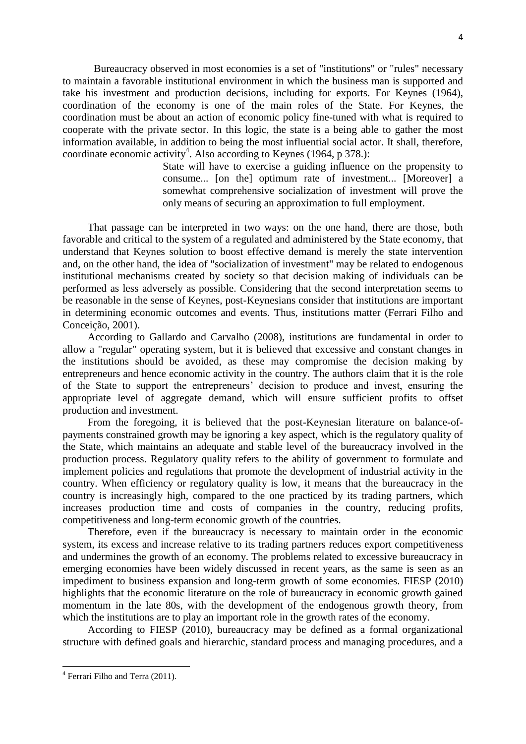Bureaucracy observed in most economies is a set of "institutions" or "rules" necessary to maintain a favorable institutional environment in which the business man is supported and take his investment and production decisions, including for exports. For Keynes (1964), coordination of the economy is one of the main roles of the State. For Keynes, the coordination must be about an action of economic policy fine-tuned with what is required to cooperate with the private sector. In this logic, the state is a being able to gather the most information available, in addition to being the most influential social actor. It shall, therefore, coordinate economic activity<sup>4</sup>. Also according to Keynes (1964, p 378.):

> State will have to exercise a guiding influence on the propensity to consume... [on the] optimum rate of investment... [Moreover] a somewhat comprehensive socialization of investment will prove the only means of securing an approximation to full employment.

That passage can be interpreted in two ways: on the one hand, there are those, both favorable and critical to the system of a regulated and administered by the State economy, that understand that Keynes solution to boost effective demand is merely the state intervention and, on the other hand, the idea of "socialization of investment" may be related to endogenous institutional mechanisms created by society so that decision making of individuals can be performed as less adversely as possible. Considering that the second interpretation seems to be reasonable in the sense of Keynes, post-Keynesians consider that institutions are important in determining economic outcomes and events. Thus, institutions matter (Ferrari Filho and Conceição, 2001).

According to Gallardo and Carvalho (2008), institutions are fundamental in order to allow a "regular" operating system, but it is believed that excessive and constant changes in the institutions should be avoided, as these may compromise the decision making by entrepreneurs and hence economic activity in the country. The authors claim that it is the role of the State to support the entrepreneurs" decision to produce and invest, ensuring the appropriate level of aggregate demand, which will ensure sufficient profits to offset production and investment.

From the foregoing, it is believed that the post-Keynesian literature on balance-ofpayments constrained growth may be ignoring a key aspect, which is the regulatory quality of the State, which maintains an adequate and stable level of the bureaucracy involved in the production process. Regulatory quality refers to the ability of government to formulate and implement policies and regulations that promote the development of industrial activity in the country. When efficiency or regulatory quality is low, it means that the bureaucracy in the country is increasingly high, compared to the one practiced by its trading partners, which increases production time and costs of companies in the country, reducing profits, competitiveness and long-term economic growth of the countries.

Therefore, even if the bureaucracy is necessary to maintain order in the economic system, its excess and increase relative to its trading partners reduces export competitiveness and undermines the growth of an economy. The problems related to excessive bureaucracy in emerging economies have been widely discussed in recent years, as the same is seen as an impediment to business expansion and long-term growth of some economies. FIESP (2010) highlights that the economic literature on the role of bureaucracy in economic growth gained momentum in the late 80s, with the development of the endogenous growth theory, from which the institutions are to play an important role in the growth rates of the economy.

According to FIESP (2010), bureaucracy may be defined as a formal organizational structure with defined goals and hierarchic, standard process and managing procedures, and a

l

<sup>&</sup>lt;sup>4</sup> Ferrari Filho and Terra (2011).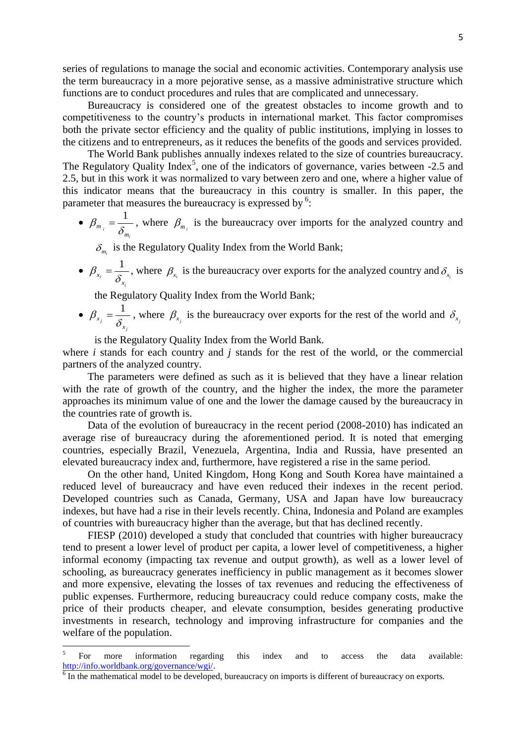series of regulations to manage the social and economic activities. Contemporary analysis use the term bureaucracy in a more pejorative sense, as a massive administrative structure which functions are to conduct procedures and rules that are complicated and unnecessary.

Bureaucracy is considered one of the greatest obstacles to income growth and to competitiveness to the country"s products in international market. This factor compromises both the private sector efficiency and the quality of public institutions, implying in losses to the citizens and to entrepreneurs, as it reduces the benefits of the goods and services provided.

The World Bank publishes annually indexes related to the size of countries bureaucracy. The Regulatory Quality Index<sup>5</sup>, one of the indicators of governance, varies between  $-2.5$  and 2.5, but in this work it was normalized to vary between zero and one, where a higher value of this indicator means that the bureaucracy in this country is smaller. In this paper, the parameter that measures the bureaucracy is expressed by  $6$ :

•  $\beta_{m_i} = \frac{1}{\delta_m}$ *i*  $\beta_{m_i} = \frac{1}{\delta_m}$ , where  $\beta_{m_i}$  is the bureaucracy over imports for the analyzed country and

 $\delta_{m_i}$  is the Regulatory Quality Index from the World Bank;

 $\bullet$ *i i*  $\delta$ <sub>x</sub>  $\beta_{x_i} = \frac{1}{\delta_{x_i}}$ , where  $\beta_{x_i}$  is the bureaucracy over exports for the analyzed country and  $\delta_{x_i}$  is

the Regulatory Quality Index from the World Bank;

 $\bullet$ *j j*  $\delta$ <sub>*x*</sub>  $\beta_{x_j} = \frac{1}{\delta_{x_j}}$ , where  $\beta_{x_j}$  is the bureaucracy over exports for the rest of the world and  $\delta_{x_j}$ 

is the Regulatory Quality Index from the World Bank.

where *i* stands for each country and *j* stands for the rest of the world, or the commercial partners of the analyzed country.

The parameters were defined as such as it is believed that they have a linear relation with the rate of growth of the country, and the higher the index, the more the parameter approaches its minimum value of one and the lower the damage caused by the bureaucracy in the countries rate of growth is.

Data of the evolution of bureaucracy in the recent period (2008-2010) has indicated an average rise of bureaucracy during the aforementioned period. It is noted that emerging countries, especially Brazil, Venezuela, Argentina, India and Russia, have presented an elevated bureaucracy index and, furthermore, have registered a rise in the same period.

On the other hand, United Kingdom, Hong Kong and South Korea have maintained a reduced level of bureaucracy and have even reduced their indexes in the recent period. Developed countries such as Canada, Germany, USA and Japan have low bureaucracy indexes, but have had a rise in their levels recently. China, Indonesia and Poland are examples of countries with bureaucracy higher than the average, but that has declined recently.

FIESP (2010) developed a study that concluded that countries with higher bureaucracy tend to present a lower level of product per capita, a lower level of competitiveness, a higher informal economy (impacting tax revenue and output growth), as well as a lower level of schooling, as bureaucracy generates inefficiency in public management as it becomes slower and more expensive, elevating the losses of tax revenues and reducing the effectiveness of public expenses. Furthermore, reducing bureaucracy could reduce company costs, make the price of their products cheaper, and elevate consumption, besides generating productive investments in research, technology and improving infrastructure for companies and the welfare of the population.

 $\overline{a}$ 

<sup>5</sup> For more information regarding this index and to access the data available: [http://info.worldbank.org/governance/wgi/.](http://info.worldbank.org/governance/wgi/)

<sup>&</sup>lt;sup>6</sup> In the mathematical model to be developed, bureaucracy on imports is different of bureaucracy on exports.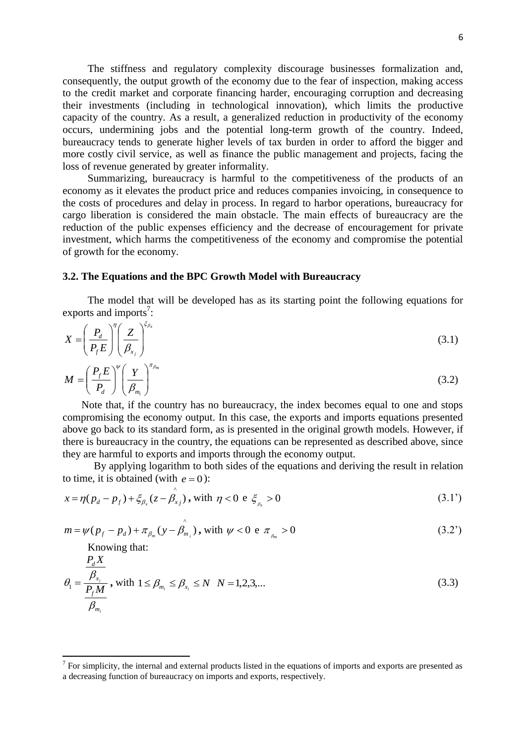The stiffness and regulatory complexity discourage businesses formalization and, consequently, the output growth of the economy due to the fear of inspection, making access to the credit market and corporate financing harder, encouraging corruption and decreasing their investments (including in technological innovation), which limits the productive capacity of the country. As a result, a generalized reduction in productivity of the economy occurs, undermining jobs and the potential long-term growth of the country. Indeed, bureaucracy tends to generate higher levels of tax burden in order to afford the bigger and more costly civil service, as well as finance the public management and projects, facing the loss of revenue generated by greater informality.

Summarizing, bureaucracy is harmful to the competitiveness of the products of an economy as it elevates the product price and reduces companies invoicing, in consequence to the costs of procedures and delay in process. In regard to harbor operations, bureaucracy for cargo liberation is considered the main obstacle. The main effects of bureaucracy are the reduction of the public expenses efficiency and the decrease of encouragement for private investment, which harms the competitiveness of the economy and compromise the potential of growth for the economy.

# **3.2. The Equations and the BPC Growth Model with Bureaucracy**

The model that will be developed has as its starting point the following equations for exports and imports<sup>7</sup>:

$$
X = \left(\frac{P_d}{P_f E}\right)^{\eta} \left(\frac{Z}{\beta_{x_j}}\right)^{\xi_{\beta_x}}
$$
\n(3.1)

$$
M = \left(\frac{P_f E}{P_d}\right)^{\nu} \left(\frac{Y}{\beta_{m_i}}\right)^{\pi_{\beta_m}}
$$
\n(3.2)

Note that, if the country has no bureaucracy, the index becomes equal to one and stops compromising the economy output. In this case, the exports and imports equations presented above go back to its standard form, as is presented in the original growth models. However, if there is bureaucracy in the country, the equations can be represented as described above, since they are harmful to exports and imports through the economy output.

By applying logarithm to both sides of the equations and deriving the result in relation to time, it is obtained (with  $e = 0$ ):

$$
x = \eta (p_d - p_f) + \xi_{\beta_x} (z - \hat{\beta}_{xj}), \text{ with } \eta < 0 \text{ e } \xi_{\beta_x} > 0 \tag{3.1'}
$$

$$
m = \psi(p_f - p_d) + \pi_{\beta_m}(y - \beta_{m_i}), \text{ with } \psi < 0 \text{ e } \pi_{\beta_m} > 0 \tag{3.2'}
$$

Knowing that:

*P X*

 $\overline{\phantom{a}}$ 

 $\lambda$ 

$$
\theta_1 = \frac{\frac{P_{\lambda_i}}{\beta_{x_i}}}{\frac{P_f M}{\beta_{m_i}}}, \text{ with } 1 \le \beta_{m_i} \le \beta_{x_i} \le N \quad N = 1, 2, 3, \dots
$$
\n
$$
(3.3)
$$

 $<sup>7</sup>$  For simplicity, the internal and external products listed in the equations of imports and exports are presented as</sup> a decreasing function of bureaucracy on imports and exports, respectively.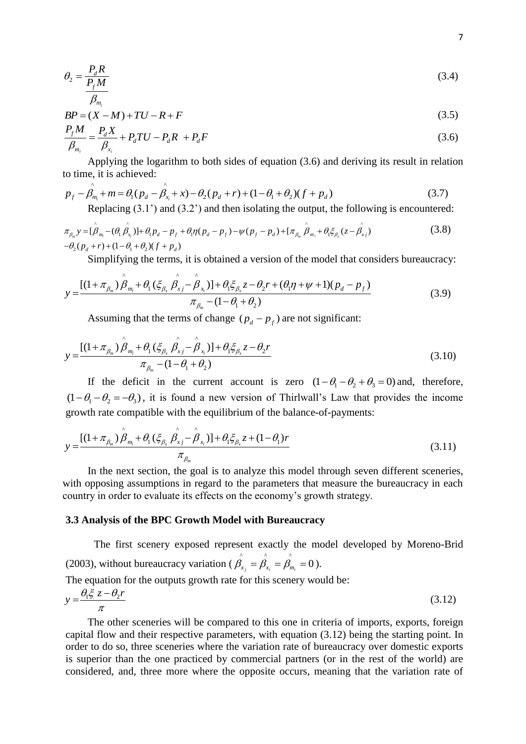$$
\theta_2 = \frac{P_d R}{\frac{P_f M}{c}}
$$
\n(3.4)

$$
\beta_{m_i}
$$
  
BP =  $(X - M) + TU - R + F$  (3.5)

$$
\frac{P_f M}{\beta_{m_i}} = \frac{P_d X}{\beta_{x_i}} + P_d T U - P_d R + P_d F \tag{3.6}
$$

Applying the logarithm to both sides of equation (3.6) and deriving its result in relation o time, it is achieved:<br>  $p_f - \hat{p_m} + m = \theta_1 (p_d - \hat{p_x} + x) - \theta_2 (p_d + r) + (1 - \theta_1 + \theta_2)(f + p_d)$  (3.7) to time, it is achieved:

$$
p_f - \beta_{m_i} + m = \theta_1 (p_d - \beta_{x_i} + x) - \theta_2 (p_d + r) + (1 - \theta_1 + \theta_2)(f + p_d)
$$
\n(3.7)

Replacing (3.1') and (3.2') and then isolating the output, the following is encountered:<br> $\hat{A} = (\hat{\theta} \hat{\theta})^T \hat{\theta} + (\hat{\theta} \hat{\theta})^T \hat{\theta} + (\hat{\theta} \hat{\theta})^T \hat{\theta} + (\hat{\theta} \hat{\theta})^T \hat{\theta} + (\hat{\theta} \hat{\theta})^T \hat{\theta}$  (3.8)

$$
p_f - \beta_{m_i} + m = \theta_1 (p_d - \beta_{x_i} + x) - \theta_2 (p_d + r) + (1 - \theta_1 + \theta_2)(f + p_d)
$$
(3.7)  
Replacing (3.1') and (3.2') and then isolating the output, the following is encountered:  

$$
\pi_{\beta_m} y = [\hat{\beta}_{m_i} - (\theta_1 \hat{\beta}_{x_i})] + \theta_1 p_d - p_f + \theta_1 \eta (p_d - p_f) - \psi (p_f - p_d) + [\pi_{\beta_m} \hat{\beta}_{m_i} + \theta_1 \xi_{\beta_x} (z - \hat{\beta}_{x_i})]
$$
(3.8)  

$$
-\theta_2 (p_d + r) + (1 - \theta_1 + \theta_2)(f + p_d)
$$
  
Simplifying the terms, it is obtained a version of the model that considers homogeneous

Simplifying the terms, it is obtained a version of the model that considers bureaucracy:<br>  $A + \sigma$   $\rightarrow$   $\hat{B} + \sigma$   $(\hat{\xi} - \hat{\theta})$   $\rightarrow$   $\sigma$   $(\hat{\xi} - \hat{\theta})$   $\rightarrow$   $(\hat{\xi} - \hat{\eta})$   $(\hat{\xi} - \hat{\eta})$ 

$$
-\theta_2(p_d+r) + (1-\theta_1+\theta_2)(f+p_d)
$$
  
Simplifying the terms, it is obtained a version of the model that considers blue  
accuracy  

$$
y = \frac{[(1+\pi_{\beta_m})\hat{\beta}_{m_i} + \theta_1(\xi_{\beta_x}\hat{\beta}_{xj} - \hat{\beta}_{x_i})] + \theta_1\xi_{\beta_x}z - \theta_2r + (\theta_1\eta + \psi + 1)(p_d - p_f)}{\pi_{\beta_m} - (1-\theta_1+\theta_2)}
$$
(3.9)

Assuming that the terms of change  $(p_d - p_f)$  are not significant:

$$
y = \frac{[(1 + \pi_{\beta_m}) \hat{\beta}_{m_i} + \theta_1 (\xi_{\beta_x} \hat{\beta}_{xj} - \hat{\beta}_{x_i})] + \theta_1 \xi_{\beta_x} z - \theta_2 r}{\pi_{\beta_m} - (1 - \theta_1 + \theta_2)}
$$
(3.10)

If the deficit in the current account is zero  $(1 - \theta_1 - \theta_2 + \theta_3 = 0)$  and, therefore,  $(1 - \theta_1 - \theta_2 = -\theta_3)$ , it is found a new version of Thirlwall's Law that provides the income

growth rate compatible with the equilibrium of the balance-of-payments:  
\n
$$
y = \frac{\left[ (1 + \pi_{\beta_m}) \stackrel{\frown}{\beta}_{m_i} + \theta_1 (\xi_{\beta_x} \stackrel{\frown}{\beta}_{x_i} - \stackrel{\frown}{\beta}_{x_i}) \right] + \theta_1 \xi_{\beta_x} z + (1 - \theta_1) r}{\pi_{\beta_m}}
$$
\n(3.11)

In the next section, the goal is to analyze this model through seven different sceneries, with opposing assumptions in regard to the parameters that measure the bureaucracy in each country in order to evaluate its effects on the economy"s growth strategy.

## **3.3 Analysis of the BPC Growth Model with Bureaucracy**

The first scenery exposed represent exactly the model developed by Moreno-Brid (2003), without bureaucracy variation ( $\hat{\beta}_{x_j} = \hat{\beta}_{x_i} = \hat{\beta}_{m_i} = 0$ ).

The equation for the outputs growth rate for this scenery would be:

$$
y = \frac{\theta_1 \xi z - \theta_2 r}{\pi} \tag{3.12}
$$

The other sceneries will be compared to this one in criteria of imports, exports, foreign capital flow and their respective parameters, with equation (3.12) being the starting point. In order to do so, three sceneries where the variation rate of bureaucracy over domestic exports is superior than the one practiced by commercial partners (or in the rest of the world) are considered, and, three more where the opposite occurs, meaning that the variation rate of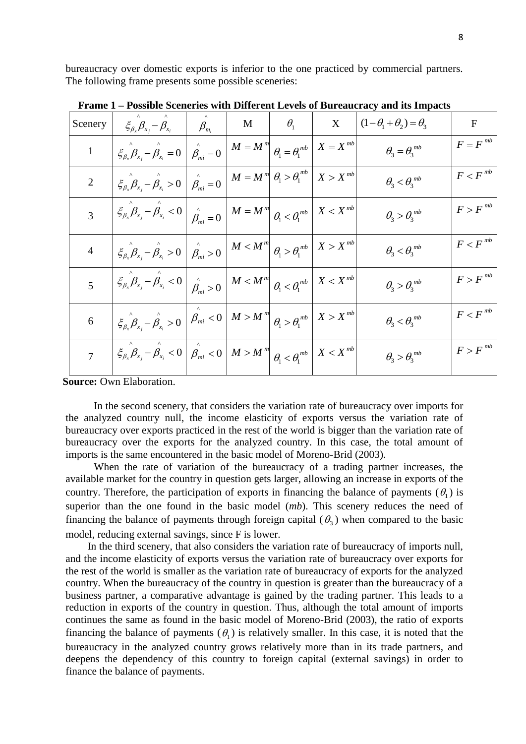bureaucracy over domestic exports is inferior to the one practiced by commercial partners. The following frame presents some possible sceneries:

| Scenery        | $\left. \xi_{\beta_x}\beta_{x_j}-\beta_{x_i} \right.\ \left.\left.\vphantom{\beta_{x_i}}\right \quad \beta_{m_i} \right.\ \left.\vphantom{\beta_{x_i}\delta_{x_i}}\right \quad \text{M} \quad\left.\vphantom{\beta_{x_i}\delta_{x_i}}\right \quad \theta_i \quad\left.\vphantom{\beta_{x_i}\delta_{x_i}}\right $ |  | $\boldsymbol{\mathrm{X}}$ | $(1-\theta_1+\theta_2)=\theta_3$                                                                  | $\mathbf{F}$          |
|----------------|------------------------------------------------------------------------------------------------------------------------------------------------------------------------------------------------------------------------------------------------------------------------------------------------------------------|--|---------------------------|---------------------------------------------------------------------------------------------------|-----------------------|
| $\mathbf{1}$   | $\mathcal{E}_{\beta_x} \hat{\beta}_{x_j} - \hat{\beta}_{x_i} = 0 \left  \hat{\beta}_{mi} = 0 \right  M = M^m \left  \beta_1 = \theta_1^{mb} \right  X = X^{mb}$                                                                                                                                                  |  |                           | $\theta_{\scriptscriptstyle{3}} = \theta_{\scriptscriptstyle{3}}^{\scriptscriptstyle\mathit{mb}}$ | $F=F^{mb}$            |
|                | $\mathcal{E}_{\beta_x} \beta_{x_j} - \mathcal{B}_{x_i} > 0$ $\left  \beta_{mi} = 0 \right $ $M = M^m \left  \beta_1 > \theta_1^{mb} \right $                                                                                                                                                                     |  | $X > X^{mb}$              | $\theta_{3} < \theta_{3}^{mb}$                                                                    | $F < F$ <sup>mb</sup> |
| 3              | $\left\{\xi_{\beta_x}\beta_{x_j}-\beta_{x_i}<0\right\}\right\ _{\hat{\beta}_{mi}}=0$ $\left\ M=M^m\right\ _{\hat{\beta}_{1}<\hat{\beta}_{1}}\left\ X$                                                                                                                                                            |  |                           | $\theta_{3} > \theta_{3}^{mb}$                                                                    | $F > F^{mb}$          |
| 4              | $\left. \xi_{\beta_{x}}\overset{\wedge}{\beta_{x_{i}}}-\overset{\wedge}{\beta_{x_{i}}}>0\ \right \overset{\wedge}{\beta_{mi}}>0\ \left \ \mathcal{M}<\mathcal{M}^{m}\right \ \theta_{1}>\theta_{1}^{mb}\ \right \ X> X^{mb}$                                                                                     |  |                           | $\theta_{3} < \theta_{3}^{\ mb}$                                                                  | $F < F^{mb}$          |
| 5 <sup>5</sup> | $\left\{\xi_{\beta_x}\beta_{x_j}-\beta_{x_i}<0\;\right\vert\; \left\ \begin{matrix} \lambda & 0\\ \beta_{mi}>0 \end{matrix}\right\vert M\leq M^m\right\vert\; \theta_i<\theta_i^{mb}\;\right\vert\; X\leq X^{mb}$                                                                                                |  |                           | $\theta_{3} > \theta_{3}^{mb}$                                                                    | $F > F^{mb}$          |
| 6              | $\left. \xi_{\beta_x} \right _{X_j} = \int_{X_i}^{\wedge} >0 \;\left  \; \beta_{mi} <0 \;\right  \, M > M^{\,m} \left  \; \theta_i > \theta_i^{\,mb} \; \right  \, X > X^{\,mb} \; \right $                                                                                                                      |  |                           | $\theta_{3} < \theta_{3}^{mb}$                                                                    | $F < F^{mb}$          |
|                | $\left\langle \xi_{\beta_x} \hat{\beta}_{x_j} - \hat{\beta}_{x_i} < 0 \right  \hat{\beta}_{mi} < 0 \left  M > M \right ^{m} \middle  \theta_{1} < \theta_{1}^{mb} \right  X < X^{mb}$                                                                                                                            |  |                           | $\theta_{3} > \theta_{3}^{mb}$                                                                    | $F > F^{mb}$          |

**Frame 1 – Possible Sceneries with Different Levels of Bureaucracy and its Impacts**

**Source: Own Elaboration.** 

In the second scenery, that considers the variation rate of bureaucracy over imports for the analyzed country null, the income elasticity of exports versus the variation rate of bureaucracy over exports practiced in the rest of the world is bigger than the variation rate of bureaucracy over the exports for the analyzed country. In this case, the total amount of imports is the same encountered in the basic model of Moreno-Brid (2003).

When the rate of variation of the bureaucracy of a trading partner increases, the available market for the country in question gets larger, allowing an increase in exports of the country. Therefore, the participation of exports in financing the balance of payments  $(\theta_1)$  is superior than the one found in the basic model (*mb*). This scenery reduces the need of financing the balance of payments through foreign capital  $(\theta_3)$  when compared to the basic model, reducing external savings, since F is lower.

In the third scenery, that also considers the variation rate of bureaucracy of imports null, and the income elasticity of exports versus the variation rate of bureaucracy over exports for the rest of the world is smaller as the variation rate of bureaucracy of exports for the analyzed country. When the bureaucracy of the country in question is greater than the bureaucracy of a business partner, a comparative advantage is gained by the trading partner. This leads to a reduction in exports of the country in question. Thus, although the total amount of imports continues the same as found in the basic model of Moreno-Brid (2003), the ratio of exports financing the balance of payments  $(\theta_1)$  is relatively smaller. In this case, it is noted that the bureaucracy in the analyzed country grows relatively more than in its trade partners, and deepens the dependency of this country to foreign capital (external savings) in order to finance the balance of payments.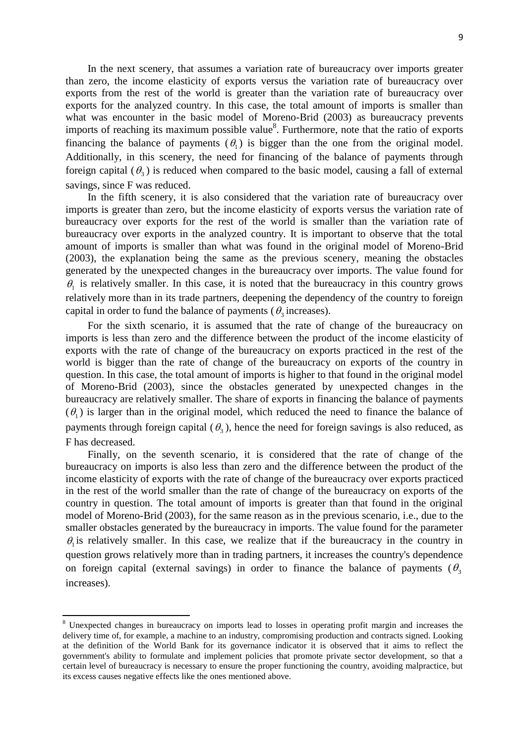In the next scenery, that assumes a variation rate of bureaucracy over imports greater than zero, the income elasticity of exports versus the variation rate of bureaucracy over exports from the rest of the world is greater than the variation rate of bureaucracy over exports for the analyzed country. In this case, the total amount of imports is smaller than what was encounter in the basic model of Moreno-Brid (2003) as bureaucracy prevents imports of reaching its maximum possible value $8$ . Furthermore, note that the ratio of exports financing the balance of payments  $(\theta_1)$  is bigger than the one from the original model. Additionally, in this scenery, the need for financing of the balance of payments through foreign capital  $(\theta_3)$  is reduced when compared to the basic model, causing a fall of external savings, since F was reduced.

In the fifth scenery, it is also considered that the variation rate of bureaucracy over imports is greater than zero, but the income elasticity of exports versus the variation rate of bureaucracy over exports for the rest of the world is smaller than the variation rate of bureaucracy over exports in the analyzed country. It is important to observe that the total amount of imports is smaller than what was found in the original model of Moreno-Brid (2003), the explanation being the same as the previous scenery, meaning the obstacles generated by the unexpected changes in the bureaucracy over imports. The value found for  $\theta_1$  is relatively smaller. In this case, it is noted that the bureaucracy in this country grows relatively more than in its trade partners, deepening the dependency of the country to foreign capital in order to fund the balance of payments ( $\theta_3$  increases).

For the sixth scenario, it is assumed that the rate of change of the bureaucracy on imports is less than zero and the difference between the product of the income elasticity of exports with the rate of change of the bureaucracy on exports practiced in the rest of the world is bigger than the rate of change of the bureaucracy on exports of the country in question. In this case, the total amount of imports is higher to that found in the original model of Moreno-Brid (2003), since the obstacles generated by unexpected changes in the bureaucracy are relatively smaller. The share of exports in financing the balance of payments  $(\theta_1)$  is larger than in the original model, which reduced the need to finance the balance of payments through foreign capital  $(\theta_3)$ , hence the need for foreign savings is also reduced, as F has decreased.

Finally, on the seventh scenario, it is considered that the rate of change of the bureaucracy on imports is also less than zero and the difference between the product of the income elasticity of exports with the rate of change of the bureaucracy over exports practiced in the rest of the world smaller than the rate of change of the bureaucracy on exports of the country in question. The total amount of imports is greater than that found in the original model of Moreno-Brid (2003), for the same reason as in the previous scenario, i.e., due to the smaller obstacles generated by the bureaucracy in imports. The value found for the parameter  $\theta_1$  is relatively smaller. In this case, we realize that if the bureaucracy in the country in question grows relatively more than in trading partners, it increases the country's dependence on foreign capital (external savings) in order to finance the balance of payments ( $\theta_3$ increases).

 $\overline{a}$ 

<sup>8</sup> Unexpected changes in bureaucracy on imports lead to losses in operating profit margin and increases the delivery time of, for example, a machine to an industry, compromising production and contracts signed. Looking at the definition of the World Bank for its governance indicator it is observed that it aims to reflect the government's ability to formulate and implement policies that promote private sector development, so that a certain level of bureaucracy is necessary to ensure the proper functioning the country, avoiding malpractice, but its excess causes negative effects like the ones mentioned above.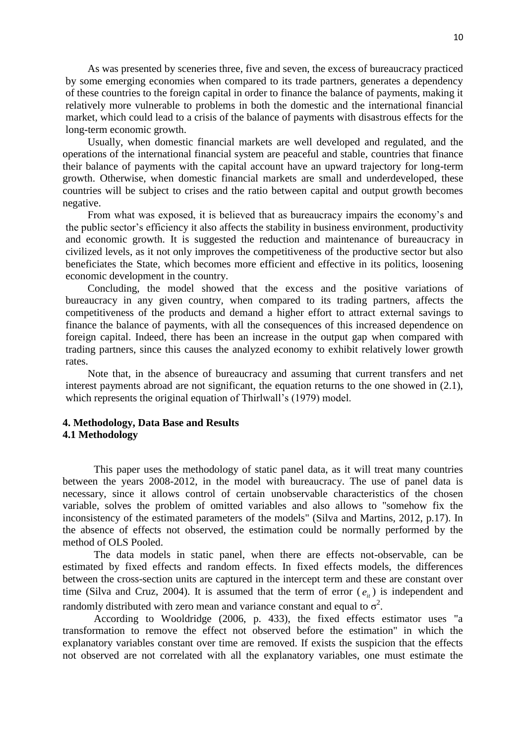As was presented by sceneries three, five and seven, the excess of bureaucracy practiced by some emerging economies when compared to its trade partners, generates a dependency of these countries to the foreign capital in order to finance the balance of payments, making it relatively more vulnerable to problems in both the domestic and the international financial market, which could lead to a crisis of the balance of payments with disastrous effects for the long-term economic growth.

Usually, when domestic financial markets are well developed and regulated, and the operations of the international financial system are peaceful and stable, countries that finance their balance of payments with the capital account have an upward trajectory for long-term growth. Otherwise, when domestic financial markets are small and underdeveloped, these countries will be subject to crises and the ratio between capital and output growth becomes negative.

From what was exposed, it is believed that as bureaucracy impairs the economy"s and the public sector"s efficiency it also affects the stability in business environment, productivity and economic growth. It is suggested the reduction and maintenance of bureaucracy in civilized levels, as it not only improves the competitiveness of the productive sector but also beneficiates the State, which becomes more efficient and effective in its politics, loosening economic development in the country.

Concluding, the model showed that the excess and the positive variations of bureaucracy in any given country, when compared to its trading partners, affects the competitiveness of the products and demand a higher effort to attract external savings to finance the balance of payments, with all the consequences of this increased dependence on foreign capital. Indeed, there has been an increase in the output gap when compared with trading partners, since this causes the analyzed economy to exhibit relatively lower growth rates.

Note that, in the absence of bureaucracy and assuming that current transfers and net interest payments abroad are not significant, the equation returns to the one showed in (2.1), which represents the original equation of Thirlwall's (1979) model.

# **4. Methodology, Data Base and Results 4.1 Methodology**

This paper uses the methodology of static panel data, as it will treat many countries between the years 2008-2012, in the model with bureaucracy. The use of panel data is necessary, since it allows control of certain unobservable characteristics of the chosen variable, solves the problem of omitted variables and also allows to "somehow fix the inconsistency of the estimated parameters of the models" (Silva and Martins, 2012, p.17). In the absence of effects not observed, the estimation could be normally performed by the method of OLS Pooled.

The data models in static panel, when there are effects not-observable, can be estimated by fixed effects and random effects. In fixed effects models, the differences between the cross-section units are captured in the intercept term and these are constant over time (Silva and Cruz, 2004). It is assumed that the term of error  $(e_{i})$  is independent and randomly distributed with zero mean and variance constant and equal to  $\sigma^2$ .

According to Wooldridge (2006, p. 433), the fixed effects estimator uses "a transformation to remove the effect not observed before the estimation" in which the explanatory variables constant over time are removed. If exists the suspicion that the effects not observed are not correlated with all the explanatory variables, one must estimate the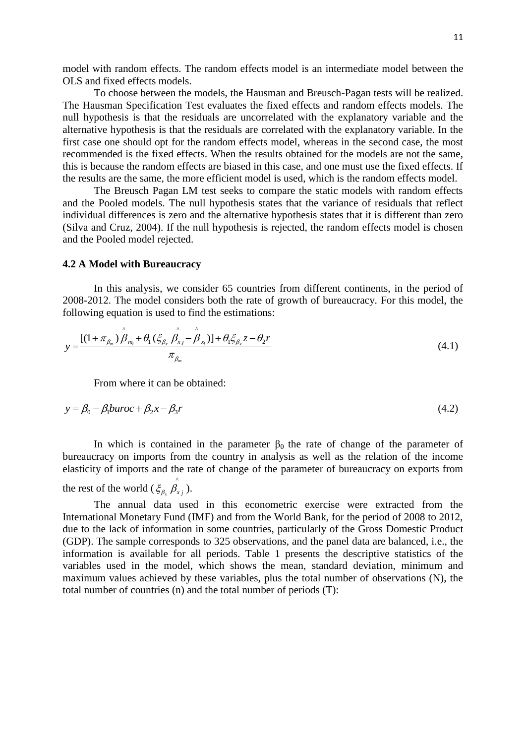model with random effects. The random effects model is an intermediate model between the OLS and fixed effects models.

To choose between the models, the Hausman and Breusch-Pagan tests will be realized. The Hausman Specification Test evaluates the fixed effects and random effects models. The null hypothesis is that the residuals are uncorrelated with the explanatory variable and the alternative hypothesis is that the residuals are correlated with the explanatory variable. In the first case one should opt for the random effects model, whereas in the second case, the most recommended is the fixed effects. When the results obtained for the models are not the same, this is because the random effects are biased in this case, and one must use the fixed effects. If the results are the same, the more efficient model is used, which is the random effects model.

The Breusch Pagan LM test seeks to compare the static models with random effects and the Pooled models. The null hypothesis states that the variance of residuals that reflect individual differences is zero and the alternative hypothesis states that it is different than zero (Silva and Cruz, 2004). If the null hypothesis is rejected, the random effects model is chosen and the Pooled model rejected.

#### **4.2 A Model with Bureaucracy**

In this analysis, we consider 65 countries from different continents, in the period of 2008-2012. The model considers both the rate of growth of bureaucracy. For this model, the following equation is used to find the estimations:

nonowing equation is used to find the estimations:  
\n
$$
y = \frac{[(1 + \pi_{\beta_m}) \stackrel{\wedge}{\beta_{m_i}} + \theta_1 (\xi_{\beta_x} \stackrel{\wedge}{\beta_{x_j}} - \stackrel{\wedge}{\beta_{x_i}})] + \theta_1 \xi_{\beta_x} z - \theta_2 r}{\pi_{\beta_m}}
$$
\n(4.1)

From where it can be obtained:

$$
y = \beta_0 - \beta_1 buroc + \beta_2 x - \beta_3 r \tag{4.2}
$$

In which is contained in the parameter  $\beta_0$  the rate of change of the parameter of bureaucracy on imports from the country in analysis as well as the relation of the income elasticity of imports and the rate of change of the parameter of bureaucracy on exports from

#### the rest of the world  $(\xi_{\beta}, \hat{\beta})$  $\xi_{\beta_x}$   $\beta_{x_j}$  ).

The annual data used in this econometric exercise were extracted from the International Monetary Fund (IMF) and from the World Bank, for the period of 2008 to 2012, due to the lack of information in some countries, particularly of the Gross Domestic Product (GDP). The sample corresponds to 325 observations, and the panel data are balanced, i.e., the information is available for all periods. Table 1 presents the descriptive statistics of the variables used in the model, which shows the mean, standard deviation, minimum and maximum values achieved by these variables, plus the total number of observations (N), the total number of countries (n) and the total number of periods (T):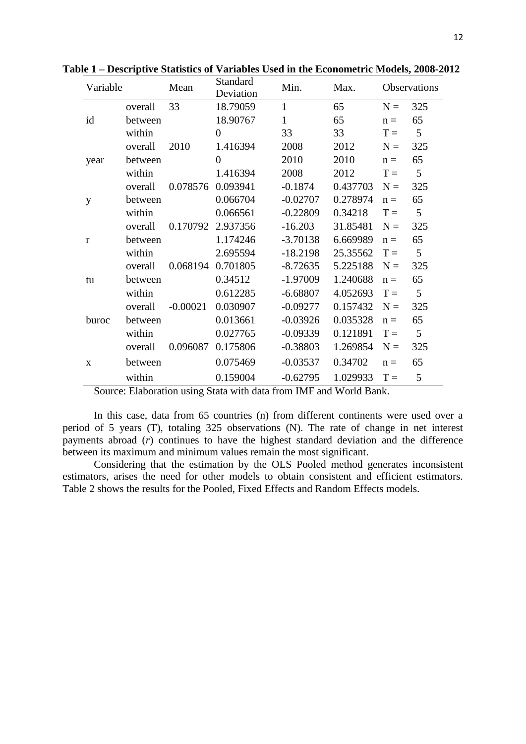| Variable |         | Mean       | Standard<br>Deviation | Min.         | Max.     |       | Observations |
|----------|---------|------------|-----------------------|--------------|----------|-------|--------------|
|          | overall | 33         | 18.79059              | $\mathbf{1}$ | 65       | $N =$ | 325          |
| id       | between |            | 18.90767              | $\mathbf{1}$ | 65       | $n =$ | 65           |
|          | within  |            | $\overline{0}$        | 33           | 33       | $T =$ | 5            |
|          | overall | 2010       | 1.416394              | 2008         | 2012     | $N =$ | 325          |
| year     | between |            | $\overline{0}$        | 2010         | 2010     | $n =$ | 65           |
|          | within  |            | 1.416394              | 2008         | 2012     | $T =$ | 5            |
|          | overall | 0.078576   | 0.093941              | $-0.1874$    | 0.437703 | $N =$ | 325          |
| y        | between |            | 0.066704              | $-0.02707$   | 0.278974 | $n =$ | 65           |
|          | within  |            | 0.066561              | $-0.22809$   | 0.34218  | $T =$ | 5            |
|          | overall | 0.170792   | 2.937356              | $-16.203$    | 31.85481 | $N =$ | 325          |
| r        | between |            | 1.174246              | $-3.70138$   | 6.669989 | $n =$ | 65           |
|          | within  |            | 2.695594              | $-18.2198$   | 25.35562 | $T =$ | 5            |
|          | overall | 0.068194   | 0.701805              | $-8.72635$   | 5.225188 | $N =$ | 325          |
| tu       | between |            | 0.34512               | $-1.97009$   | 1.240688 | $n =$ | 65           |
|          | within  |            | 0.612285              | $-6.68807$   | 4.052693 | $T =$ | 5            |
|          | overall | $-0.00021$ | 0.030907              | $-0.09277$   | 0.157432 | $N =$ | 325          |
| buroc    | between |            | 0.013661              | $-0.03926$   | 0.035328 | $n =$ | 65           |
|          | within  |            | 0.027765              | $-0.09339$   | 0.121891 | $T =$ | 5            |
|          | overall | 0.096087   | 0.175806              | $-0.38803$   | 1.269854 | $N =$ | 325          |
| X        | between |            | 0.075469              | $-0.03537$   | 0.34702  | $n =$ | 65           |
|          | within  |            | 0.159004              | $-0.62795$   | 1.029933 | $T =$ | 5            |

**Table 1 – Descriptive Statistics of Variables Used in the Econometric Models, 2008-2012**

Source: Elaboration using Stata with data from IMF and World Bank.

In this case, data from 65 countries (n) from different continents were used over a period of 5 years (T), totaling 325 observations (N). The rate of change in net interest payments abroad (*r*) continues to have the highest standard deviation and the difference between its maximum and minimum values remain the most significant.

Considering that the estimation by the OLS Pooled method generates inconsistent estimators, arises the need for other models to obtain consistent and efficient estimators. Table 2 shows the results for the Pooled, Fixed Effects and Random Effects models.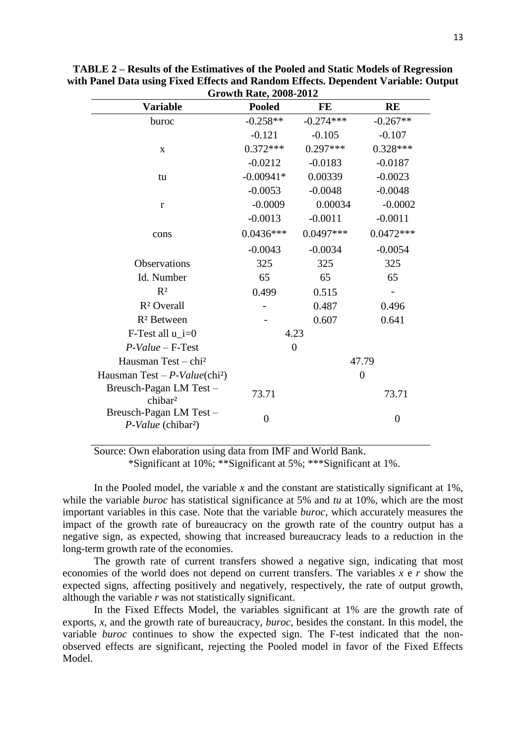| <b>Growth Rate, 2008-2012</b>                            |                  |                |                |  |  |  |  |
|----------------------------------------------------------|------------------|----------------|----------------|--|--|--|--|
| <b>Variable</b>                                          | <b>Pooled</b>    | FE             | <b>RE</b>      |  |  |  |  |
| buroc                                                    | $-0.258**$       | $-0.274***$    | $-0.267**$     |  |  |  |  |
|                                                          | $-0.121$         | $-0.105$       | $-0.107$       |  |  |  |  |
| $\mathbf X$                                              | $0.372***$       | $0.297***$     | $0.328***$     |  |  |  |  |
|                                                          | $-0.0212$        | $-0.0183$      | $-0.0187$      |  |  |  |  |
| tu                                                       | $-0.00941*$      | 0.00339        | $-0.0023$      |  |  |  |  |
|                                                          | $-0.0053$        | $-0.0048$      | $-0.0048$      |  |  |  |  |
| $\mathbf{r}$                                             | $-0.0009$        | 0.00034        | $-0.0002$      |  |  |  |  |
|                                                          | $-0.0013$        | $-0.0011$      | $-0.0011$      |  |  |  |  |
| cons                                                     | $0.0436***$      | $0.0497***$    | $0.0472***$    |  |  |  |  |
|                                                          | $-0.0043$        | $-0.0034$      | $-0.0054$      |  |  |  |  |
| <b>Observations</b>                                      | 325              | 325            | 325            |  |  |  |  |
| Id. Number                                               | 65               | 65             | 65             |  |  |  |  |
| R <sup>2</sup>                                           | 0.499            | 0.515          |                |  |  |  |  |
| R <sup>2</sup> Overall                                   |                  | 0.487          | 0.496          |  |  |  |  |
| R <sup>2</sup> Between                                   |                  | 0.607          | 0.641          |  |  |  |  |
| F-Test all $u$ i=0                                       |                  | 4.23           |                |  |  |  |  |
| $P-Value - F-Test$                                       |                  | $\overline{0}$ |                |  |  |  |  |
| Hausman Test - chi <sup>2</sup>                          |                  |                | 47.79          |  |  |  |  |
| Hausman Test - $P-Value(\text{chi}^2)$                   |                  |                | $\overline{0}$ |  |  |  |  |
| Breusch-Pagan LM Test-<br>chibar <sup>2</sup>            | 73.71            |                | 73.71          |  |  |  |  |
| Breusch-Pagan LM Test-<br>P-Value (chibar <sup>2</sup> ) | $\boldsymbol{0}$ |                | $\overline{0}$ |  |  |  |  |

**TABLE 2 – Results of the Estimatives of the Pooled and Static Models of Regression with Panel Data using Fixed Effects and Random Effects. Dependent Variable: Output** 

Source: Own elaboration using data from IMF and World Bank.

\*Significant at 10%; \*\*Significant at 5%; \*\*\*Significant at 1%.

In the Pooled model, the variable  $x$  and the constant are statistically significant at  $1\%$ , while the variable *buroc* has statistical significance at 5% and *tu* at 10%, which are the most important variables in this case. Note that the variable *buroc*, which accurately measures the impact of the growth rate of bureaucracy on the growth rate of the country output has a negative sign, as expected, showing that increased bureaucracy leads to a reduction in the long-term growth rate of the economies.

The growth rate of current transfers showed a negative sign, indicating that most economies of the world does not depend on current transfers. The variables *x* e *r* show the expected signs, affecting positively and negatively, respectively, the rate of output growth, although the variable *r* was not statistically significant.

In the Fixed Effects Model, the variables significant at 1% are the growth rate of exports, *x*, and the growth rate of bureaucracy, *buroc*, besides the constant. In this model, the variable *buroc* continues to show the expected sign. The F-test indicated that the nonobserved effects are significant, rejecting the Pooled model in favor of the Fixed Effects Model.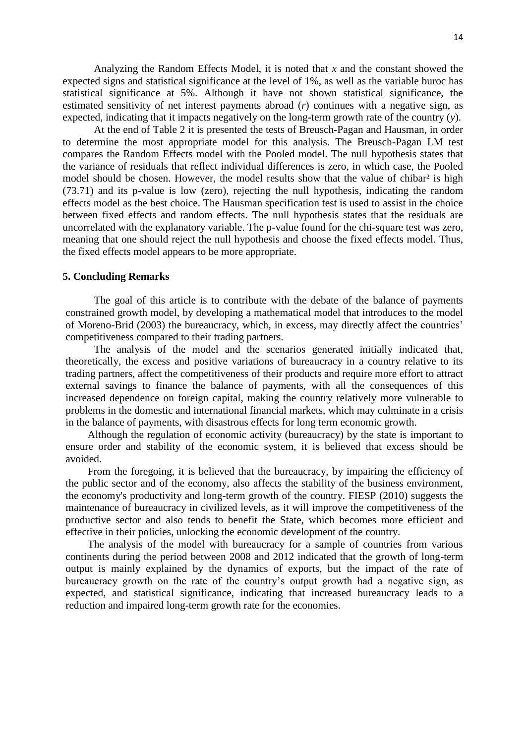Analyzing the Random Effects Model, it is noted that *x* and the constant showed the expected signs and statistical significance at the level of 1%, as well as the variable buroc has statistical significance at 5%. Although it have not shown statistical significance, the estimated sensitivity of net interest payments abroad (*r*) continues with a negative sign, as expected, indicating that it impacts negatively on the long-term growth rate of the country (*y*).

At the end of Table 2 it is presented the tests of Breusch-Pagan and Hausman, in order to determine the most appropriate model for this analysis. The Breusch-Pagan LM test compares the Random Effects model with the Pooled model. The null hypothesis states that the variance of residuals that reflect individual differences is zero, in which case, the Pooled model should be chosen. However, the model results show that the value of chibar<sup>2</sup> is high (73.71) and its p-value is low (zero), rejecting the null hypothesis, indicating the random effects model as the best choice. The Hausman specification test is used to assist in the choice between fixed effects and random effects. The null hypothesis states that the residuals are uncorrelated with the explanatory variable. The p-value found for the chi-square test was zero, meaning that one should reject the null hypothesis and choose the fixed effects model. Thus, the fixed effects model appears to be more appropriate.

### **5. Concluding Remarks**

The goal of this article is to contribute with the debate of the balance of payments constrained growth model, by developing a mathematical model that introduces to the model of Moreno-Brid (2003) the bureaucracy, which, in excess, may directly affect the countries" competitiveness compared to their trading partners.

The analysis of the model and the scenarios generated initially indicated that, theoretically, the excess and positive variations of bureaucracy in a country relative to its trading partners, affect the competitiveness of their products and require more effort to attract external savings to finance the balance of payments, with all the consequences of this increased dependence on foreign capital, making the country relatively more vulnerable to problems in the domestic and international financial markets, which may culminate in a crisis in the balance of payments, with disastrous effects for long term economic growth.

Although the regulation of economic activity (bureaucracy) by the state is important to ensure order and stability of the economic system, it is believed that excess should be avoided.

From the foregoing, it is believed that the bureaucracy, by impairing the efficiency of the public sector and of the economy, also affects the stability of the business environment, the economy's productivity and long-term growth of the country. FIESP (2010) suggests the maintenance of bureaucracy in civilized levels, as it will improve the competitiveness of the productive sector and also tends to benefit the State, which becomes more efficient and effective in their policies, unlocking the economic development of the country.

The analysis of the model with bureaucracy for a sample of countries from various continents during the period between 2008 and 2012 indicated that the growth of long-term output is mainly explained by the dynamics of exports, but the impact of the rate of bureaucracy growth on the rate of the country"s output growth had a negative sign, as expected, and statistical significance, indicating that increased bureaucracy leads to a reduction and impaired long-term growth rate for the economies.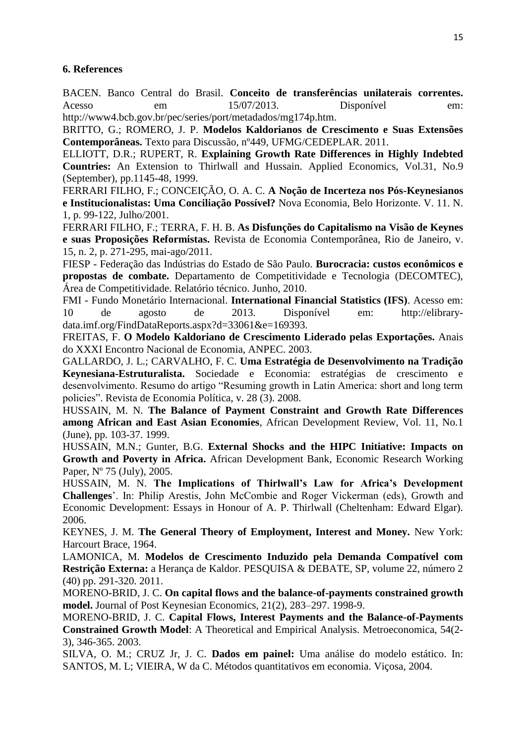# **6. References**

BACEN. Banco Central do Brasil. **Conceito de transferências unilaterais correntes.** Acesso em 15/07/2013. Disponível em: http://www4.bcb.gov.br/pec/series/port/metadados/mg174p.htm.

BRITTO, G.; ROMERO, J. P. **Modelos Kaldorianos de Crescimento e Suas Extensões Contemporâneas.** Texto para Discussão, nº449, UFMG/CEDEPLAR. 2011.

ELLIOTT, D.R.; RUPERT, R. **Explaining Growth Rate Differences in Highly Indebted Countries:** An Extension to Thirlwall and Hussain. Applied Economics, Vol.31, No.9 (September), pp.1145-48, 1999.

FERRARI FILHO, F.; CONCEIÇÃO, O. A. C. **A Noção de Incerteza nos Pós-Keynesianos e Institucionalistas: Uma Conciliação Possível?** Nova Economia, Belo Horizonte. V. 11. N. 1, p. 99-122, Julho/2001.

FERRARI FILHO, F.; TERRA, F. H. B. **As Disfunções do Capitalismo na Visão de Keynes e suas Proposições Reformistas.** Revista de Economia Contemporânea, Rio de Janeiro, v. 15, n. 2, p. 271-295, mai-ago/2011.

FIESP - Federação das Indústrias do Estado de São Paulo. **Burocracia: custos econômicos e propostas de combate.** Departamento de Competitividade e Tecnologia (DECOMTEC), Área de Competitividade. Relatório técnico. Junho, 2010.

FMI - Fundo Monetário Internacional. **International Financial Statistics (IFS)**. Acesso em: 10 de agosto de 2013. Disponível em: http://elibrarydata.imf.org/FindDataReports.aspx?d=33061&e=169393.

FREITAS, F. **O Modelo Kaldoriano de Crescimento Liderado pelas Exportações.** Anais do XXXI Encontro Nacional de Economia, ANPEC. 2003.

GALLARDO, J. L.; CARVALHO, F. C. **Uma Estratégia de Desenvolvimento na Tradição Keynesiana-Estruturalista.** Sociedade e Economia: estratégias de crescimento e desenvolvimento. Resumo do artigo "Resuming growth in Latin America: short and long term policies". Revista de Economia Política, v. 28 (3). 2008.

HUSSAIN, M. N. **The Balance of Payment Constraint and Growth Rate Differences among African and East Asian Economies**, African Development Review, Vol. 11, No.1 (June), pp. 103-37. 1999.

HUSSAIN, M.N.; Gunter, B.G. **External Shocks and the HIPC Initiative: Impacts on Growth and Poverty in Africa.** African Development Bank, Economic Research Working Paper, Nº 75 (July), 2005.

HUSSAIN, M. N. **The Implications of Thirlwall's Law for Africa's Development Challenges**". In: Philip Arestis, John McCombie and Roger Vickerman (eds), Growth and Economic Development: Essays in Honour of A. P. Thirlwall (Cheltenham: Edward Elgar). 2006.

KEYNES, J. M. **The General Theory of Employment, Interest and Money.** New York: Harcourt Brace, 1964.

LAMONICA, M. **Modelos de Crescimento Induzido pela Demanda Compatível com Restrição Externa:** a Herança de Kaldor. PESQUISA & DEBATE, SP, volume 22, número 2 (40) pp. 291-320. 2011.

MORENO-BRID, J. C. **On capital flows and the balance-of-payments constrained growth model.** Journal of Post Keynesian Economics, 21(2), 283–297. 1998-9.

MORENO-BRID, J. C. **Capital Flows, Interest Payments and the Balance-of-Payments Constrained Growth Model**: A Theoretical and Empirical Analysis. Metroeconomica, 54(2- 3), 346-365. 2003.

SILVA, O. M.; CRUZ Jr, J. C. **Dados em painel:** Uma análise do modelo estático. In: SANTOS, M. L; VIEIRA, W da C. Métodos quantitativos em economia. Viçosa, 2004.